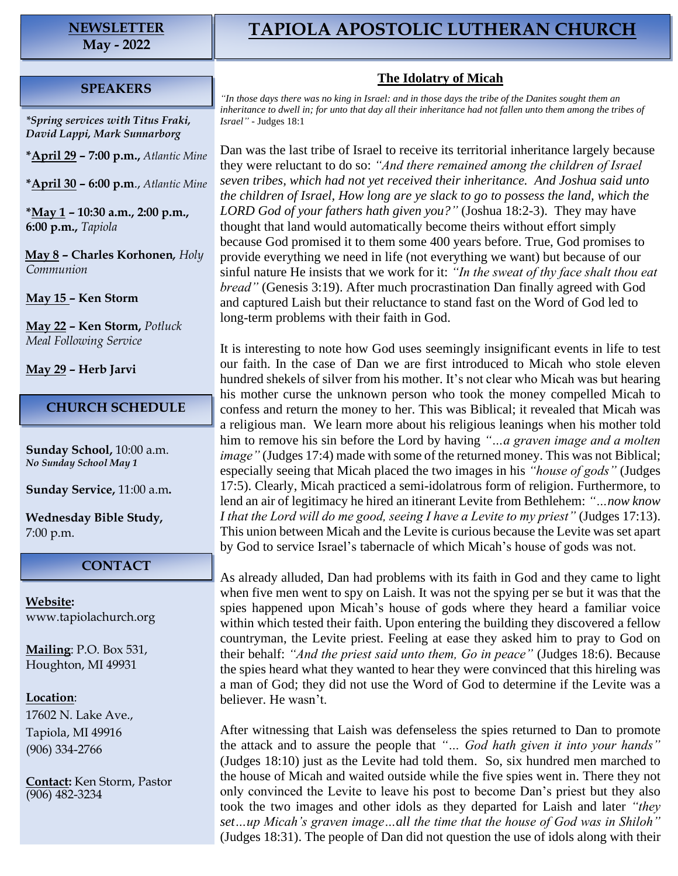# **NEWSLETTER**

**May - 2022**

## **TAPIOLA APOSTOLIC LUTHERAN CHURCH**

#### **SPEAKERS**

*\*Spring services with Titus Fraki, David Lappi, Mark Sunnarborg*

**\*April 29 – 7:00 p.m.,** *Atlantic Mine*

**\*April 30 – 6:00 p.m**., *Atlantic Mine*

**\*May 1 – 10:30 a.m., 2:00 p.m., 6:00 p.m.,** *Tapiola*

**May 8 – Charles Korhonen***, Holy Communion*

**May 15 – Ken Storm**

**May 22 – Ken Storm,** *Potluck Meal Following Service*

**May 29 – Herb Jarvi**

#### **CHURCH SCHEDULE**

**Sunday School,** 10:00 a.m. *No Sunday School May 1*

**Sunday Service,** 11:00 a.m**.**

**Wednesday Bible Study,** 7:00 p.m.

### **CONTACT**

**Website:**  [www.tapiolachurch.org](http://www.tapiolachurch.or/)

**Mailing**: P.O. Box 531, Houghton, MI 49931

#### **Location**:

17602 N. Lake Ave., Tapiola, MI 49916 (906) 334-2766

**Contact:** Ken Storm, Pastor (906) 482-3234

#### **The Idolatry of Micah**

*"In those days there was no king in Israel: and in those days the tribe of the Danites sought them an inheritance to dwell in; for unto that day all their inheritance had not fallen unto them among the tribes of Israel"* - Judges 18:1

Dan was the last tribe of Israel to receive its territorial inheritance largely because they were reluctant to do so: *"And there remained among the children of Israel seven tribes, which had not yet received their inheritance. And Joshua said unto the children of Israel, How long are ye slack to go to possess the land, which the LORD God of your fathers hath given you?"* (Joshua 18:2-3). They may have thought that land would automatically become theirs without effort simply because God promised it to them some 400 years before. True, God promises to provide everything we need in life (not everything we want) but because of our sinful nature He insists that we work for it: *"In the sweat of thy face shalt thou eat bread"* (Genesis 3:19). After much procrastination Dan finally agreed with God and captured Laish but their reluctance to stand fast on the Word of God led to long-term problems with their faith in God.

It is interesting to note how God uses seemingly insignificant events in life to test our faith. In the case of Dan we are first introduced to Micah who stole eleven hundred shekels of silver from his mother. It's not clear who Micah was but hearing his mother curse the unknown person who took the money compelled Micah to confess and return the money to her. This was Biblical; it revealed that Micah was a religious man. We learn more about his religious leanings when his mother told him to remove his sin before the Lord by having *"…a graven image and a molten image*" (Judges 17:4) made with some of the returned money. This was not Biblical; especially seeing that Micah placed the two images in his *"house of gods"* (Judges 17:5). Clearly, Micah practiced a semi-idolatrous form of religion. Furthermore, to lend an air of legitimacy he hired an itinerant Levite from Bethlehem: *"…now know I that the Lord will do me good, seeing I have a Levite to my priest"* (Judges 17:13). This union between Micah and the Levite is curious because the Levite was set apart by God to service Israel's tabernacle of which Micah's house of gods was not.

As already alluded, Dan had problems with its faith in God and they came to light when five men went to spy on Laish. It was not the spying per se but it was that the spies happened upon Micah's house of gods where they heard a familiar voice within which tested their faith. Upon entering the building they discovered a fellow countryman, the Levite priest. Feeling at ease they asked him to pray to God on their behalf: *"And the priest said unto them, Go in peace"* (Judges 18:6). Because the spies heard what they wanted to hear they were convinced that this hireling was a man of God; they did not use the Word of God to determine if the Levite was a believer. He wasn't.

After witnessing that Laish was defenseless the spies returned to Dan to promote the attack and to assure the people that *"… God hath given it into your hands"* (Judges 18:10) just as the Levite had told them. So, six hundred men marched to the house of Micah and waited outside while the five spies went in. There they not only convinced the Levite to leave his post to become Dan's priest but they also took the two images and other idols as they departed for Laish and later *"they set…up Micah's graven image…all the time that the house of God was in Shiloh"* (Judges 18:31). The people of Dan did not question the use of idols along with their